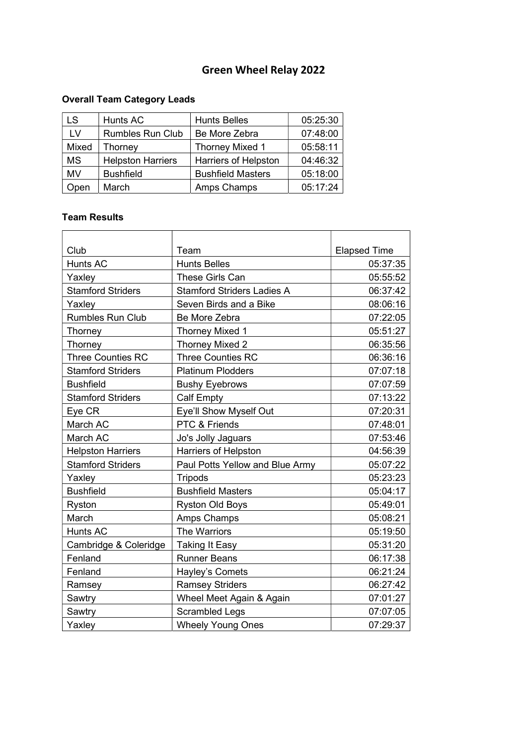### Overall Team Category Leads

| LS.       | Hunts AC                 | <b>Hunts Belles</b>      | 05:25:30 |
|-----------|--------------------------|--------------------------|----------|
| LV        | <b>Rumbles Run Club</b>  | Be More Zebra            | 07:48:00 |
| Mixed     | Thorney                  | <b>Thorney Mixed 1</b>   | 05:58:11 |
| <b>MS</b> | <b>Helpston Harriers</b> | Harriers of Helpston     | 04:46:32 |
| MV        | <b>Bushfield</b>         | <b>Bushfield Masters</b> | 05:18:00 |
| Open      | March                    | Amps Champs              | 05:17:24 |

#### Team Results

| Club                     | Team                              | <b>Elapsed Time</b> |
|--------------------------|-----------------------------------|---------------------|
| Hunts AC                 | <b>Hunts Belles</b>               | 05:37:35            |
| Yaxley                   | These Girls Can                   | 05:55:52            |
| <b>Stamford Striders</b> | <b>Stamford Striders Ladies A</b> | 06:37:42            |
| Yaxley                   | Seven Birds and a Bike            | 08:06:16            |
| <b>Rumbles Run Club</b>  | Be More Zebra                     | 07:22:05            |
| Thorney                  | <b>Thorney Mixed 1</b>            | 05:51:27            |
| Thorney                  | Thorney Mixed 2                   | 06:35:56            |
| <b>Three Counties RC</b> | <b>Three Counties RC</b>          | 06:36:16            |
| <b>Stamford Striders</b> | <b>Platinum Plodders</b>          | 07:07:18            |
| <b>Bushfield</b>         | <b>Bushy Eyebrows</b>             | 07:07:59            |
| <b>Stamford Striders</b> | <b>Calf Empty</b>                 | 07:13:22            |
| Eye CR                   | Eye'll Show Myself Out            | 07:20:31            |
| March AC                 | PTC & Friends                     | 07:48:01            |
| March AC                 | Jo's Jolly Jaguars                | 07:53:46            |
| <b>Helpston Harriers</b> | Harriers of Helpston              | 04:56:39            |
| <b>Stamford Striders</b> | Paul Potts Yellow and Blue Army   | 05:07:22            |
| Yaxley                   | <b>Tripods</b>                    | 05:23:23            |
| <b>Bushfield</b>         | <b>Bushfield Masters</b>          | 05:04:17            |
| Ryston                   | <b>Ryston Old Boys</b>            | 05:49:01            |
| March                    | Amps Champs                       | 05:08:21            |
| <b>Hunts AC</b>          | The Warriors                      | 05:19:50            |
| Cambridge & Coleridge    | <b>Taking It Easy</b>             | 05:31:20            |
| Fenland                  | <b>Runner Beans</b>               | 06:17:38            |
| Fenland                  | Hayley's Comets                   | 06:21:24            |
| Ramsey                   | <b>Ramsey Striders</b>            | 06:27:42            |
| Sawtry                   | Wheel Meet Again & Again          | 07:01:27            |
| Sawtry                   | <b>Scrambled Legs</b>             | 07:07:05            |
| Yaxley                   | <b>Wheely Young Ones</b>          | 07:29:37            |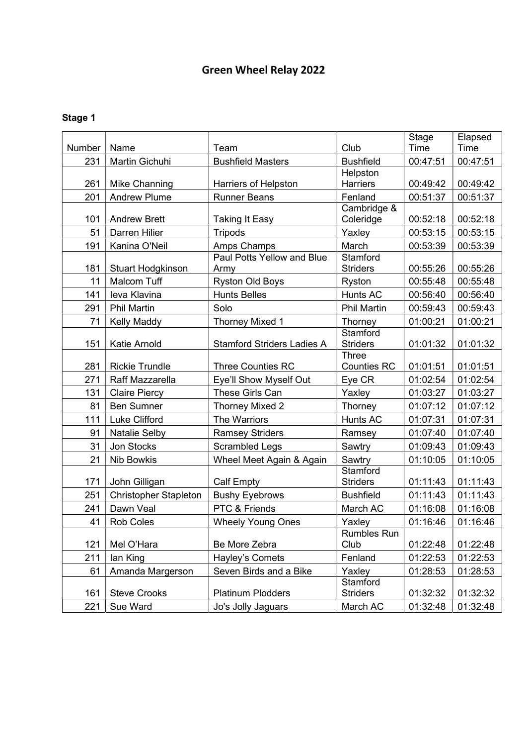|        |                                      |                                    |                                    | Stage    | Elapsed  |
|--------|--------------------------------------|------------------------------------|------------------------------------|----------|----------|
| Number | Name                                 | Team                               | Club                               | Time     | Time     |
| 231    | Martin Gichuhi                       | <b>Bushfield Masters</b>           | <b>Bushfield</b>                   | 00:47:51 | 00:47:51 |
| 261    |                                      | Harriers of Helpston               | Helpston<br><b>Harriers</b>        | 00:49:42 | 00:49:42 |
| 201    | Mike Channing<br><b>Andrew Plume</b> | <b>Runner Beans</b>                | Fenland                            | 00:51:37 | 00:51:37 |
|        |                                      |                                    | Cambridge &                        |          |          |
| 101    | <b>Andrew Brett</b>                  | <b>Taking It Easy</b>              | Coleridge                          | 00:52:18 | 00:52:18 |
| 51     | Darren Hilier                        | <b>Tripods</b>                     | Yaxley                             | 00:53:15 | 00:53:15 |
| 191    | Kanina O'Neil                        | Amps Champs                        | March                              | 00:53:39 | 00:53:39 |
| 181    | <b>Stuart Hodgkinson</b>             | Paul Potts Yellow and Blue<br>Army | Stamford<br><b>Striders</b>        | 00:55:26 | 00:55:26 |
| 11     | <b>Malcom Tuff</b>                   | <b>Ryston Old Boys</b>             | Ryston                             | 00:55:48 | 00:55:48 |
| 141    | leva Klavina                         | <b>Hunts Belles</b>                | Hunts AC                           | 00:56:40 | 00:56:40 |
| 291    | <b>Phil Martin</b>                   | Solo                               | <b>Phil Martin</b>                 | 00:59:43 | 00:59:43 |
| 71     | <b>Kelly Maddy</b>                   | Thorney Mixed 1                    | Thorney                            | 01:00:21 | 01:00:21 |
| 151    | Katie Arnold                         | <b>Stamford Striders Ladies A</b>  | <b>Stamford</b><br><b>Striders</b> | 01:01:32 | 01:01:32 |
| 281    | <b>Rickie Trundle</b>                | Three Counties RC                  | <b>Three</b><br><b>Counties RC</b> | 01:01:51 | 01:01:51 |
| 271    | Raff Mazzarella                      | Eye'll Show Myself Out             | Eye CR                             | 01:02:54 | 01:02:54 |
| 131    | <b>Claire Piercy</b>                 | These Girls Can                    | Yaxley                             | 01:03:27 | 01:03:27 |
| 81     | <b>Ben Sumner</b>                    | Thorney Mixed 2                    | Thorney                            | 01:07:12 | 01:07:12 |
| 111    | Luke Clifford                        | The Warriors                       | Hunts AC                           | 01:07:31 | 01:07:31 |
| 91     | <b>Natalie Selby</b>                 | <b>Ramsey Striders</b>             | Ramsey                             | 01:07:40 | 01:07:40 |
| 31     | Jon Stocks                           | <b>Scrambled Legs</b>              | Sawtry                             | 01:09:43 | 01:09:43 |
| 21     | <b>Nib Bowkis</b>                    | Wheel Meet Again & Again           | Sawtry                             | 01:10:05 | 01:10:05 |
|        |                                      |                                    | <b>Stamford</b>                    |          |          |
| 171    | John Gilligan                        | <b>Calf Empty</b>                  | <b>Striders</b>                    | 01:11:43 | 01:11:43 |
| 251    | <b>Christopher Stapleton</b>         | <b>Bushy Eyebrows</b>              | <b>Bushfield</b>                   | 01:11:43 | 01:11:43 |
| 241    | Dawn Veal                            | PTC & Friends                      | March AC                           | 01:16:08 | 01:16:08 |
| 41     | <b>Rob Coles</b>                     | <b>Wheely Young Ones</b>           | Yaxley                             | 01:16:46 | 01:16:46 |
| 121    | Mel O'Hara                           | Be More Zebra                      | <b>Rumbles Run</b><br>Club         | 01:22:48 | 01:22:48 |
| 211    | lan King                             | Hayley's Comets                    | Fenland                            | 01:22:53 | 01:22:53 |
| 61     | Amanda Margerson                     | Seven Birds and a Bike             | Yaxley                             | 01:28:53 | 01:28:53 |
| 161    | <b>Steve Crooks</b>                  | <b>Platinum Plodders</b>           | Stamford<br><b>Striders</b>        | 01:32:32 | 01:32:32 |
| 221    | Sue Ward                             | Jo's Jolly Jaguars                 | March AC                           | 01:32:48 | 01:32:48 |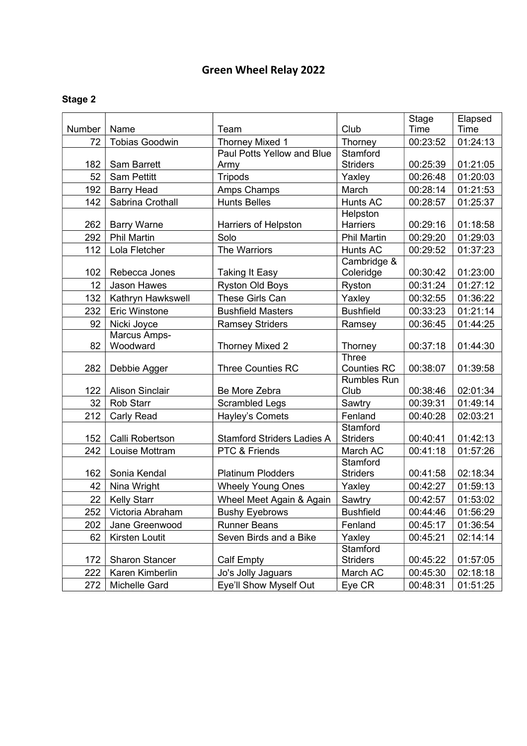|        |                        |                                   |                                    | Stage    | Elapsed  |
|--------|------------------------|-----------------------------------|------------------------------------|----------|----------|
| Number | Name                   | Team                              | Club                               | Time     | Time     |
| 72     | <b>Tobias Goodwin</b>  | Thorney Mixed 1                   | Thorney                            | 00:23:52 | 01:24:13 |
|        |                        | Paul Potts Yellow and Blue        | Stamford                           |          |          |
| 182    | Sam Barrett            | Army                              | <b>Striders</b>                    | 00:25:39 | 01:21:05 |
| 52     | <b>Sam Pettitt</b>     | <b>Tripods</b>                    | Yaxley                             | 00:26:48 | 01:20:03 |
| 192    | <b>Barry Head</b>      | Amps Champs                       | March                              | 00:28:14 | 01:21:53 |
| 142    | Sabrina Crothall       | <b>Hunts Belles</b>               | Hunts AC                           | 00:28:57 | 01:25:37 |
|        |                        |                                   | Helpston                           |          |          |
| 262    | <b>Barry Warne</b>     | <b>Harriers of Helpston</b>       | <b>Harriers</b>                    | 00:29:16 | 01:18:58 |
| 292    | <b>Phil Martin</b>     | Solo                              | <b>Phil Martin</b>                 | 00:29:20 | 01:29:03 |
| 112    | Lola Fletcher          | The Warriors                      | Hunts AC                           | 00:29:52 | 01:37:23 |
|        |                        |                                   | Cambridge &                        |          |          |
| 102    | Rebecca Jones          | <b>Taking It Easy</b>             | Coleridge                          | 00:30:42 | 01:23:00 |
| 12     | Jason Hawes            | <b>Ryston Old Boys</b>            | Ryston                             | 00:31:24 | 01:27:12 |
| 132    | Kathryn Hawkswell      | These Girls Can                   | Yaxley                             | 00:32:55 | 01:36:22 |
| 232    | <b>Eric Winstone</b>   | <b>Bushfield Masters</b>          | <b>Bushfield</b>                   | 00:33:23 | 01:21:14 |
| 92     | Nicki Joyce            | <b>Ramsey Striders</b>            | Ramsey                             | 00:36:45 | 01:44:25 |
|        | Marcus Amps-           |                                   |                                    |          |          |
| 82     | Woodward               | <b>Thorney Mixed 2</b>            | Thorney                            | 00:37:18 | 01:44:30 |
| 282    |                        | <b>Three Counties RC</b>          | <b>Three</b><br><b>Counties RC</b> | 00:38:07 | 01:39:58 |
|        | Debbie Agger           |                                   | <b>Rumbles Run</b>                 |          |          |
| 122    | <b>Alison Sinclair</b> | Be More Zebra                     | Club                               | 00:38:46 | 02:01:34 |
| 32     | <b>Rob Starr</b>       | Scrambled Legs                    | Sawtry                             | 00:39:31 | 01:49:14 |
| 212    | Carly Read             | Hayley's Comets                   | Fenland                            | 00:40:28 | 02:03:21 |
|        |                        |                                   | Stamford                           |          |          |
| 152    | Calli Robertson        | <b>Stamford Striders Ladies A</b> | <b>Striders</b>                    | 00:40:41 | 01:42:13 |
| 242    | Louise Mottram         | PTC & Friends                     | March AC                           | 00:41:18 | 01:57:26 |
|        |                        |                                   | Stamford                           |          |          |
| 162    | Sonia Kendal           | <b>Platinum Plodders</b>          | <b>Striders</b>                    | 00:41:58 | 02:18:34 |
| 42     | Nina Wright            | <b>Wheely Young Ones</b>          | Yaxley                             | 00:42:27 | 01:59:13 |
| 22     | <b>Kelly Starr</b>     | Wheel Meet Again & Again          | Sawtry                             | 00:42:57 | 01:53:02 |
| 252    | Victoria Abraham       | <b>Bushy Eyebrows</b>             | <b>Bushfield</b>                   | 00:44:46 | 01:56:29 |
| 202    | Jane Greenwood         | <b>Runner Beans</b>               | Fenland                            | 00:45:17 | 01:36:54 |
| 62     | Kirsten Loutit         | Seven Birds and a Bike            | Yaxley                             | 00:45:21 | 02:14:14 |
|        |                        |                                   | Stamford                           |          |          |
| 172    | <b>Sharon Stancer</b>  | Calf Empty                        | <b>Striders</b>                    | 00:45:22 | 01:57:05 |
| 222    | Karen Kimberlin        | Jo's Jolly Jaguars                | March AC                           | 00:45:30 | 02:18:18 |
| 272    | Michelle Gard          | Eye'll Show Myself Out            | Eye CR                             | 00:48:31 | 01:51:25 |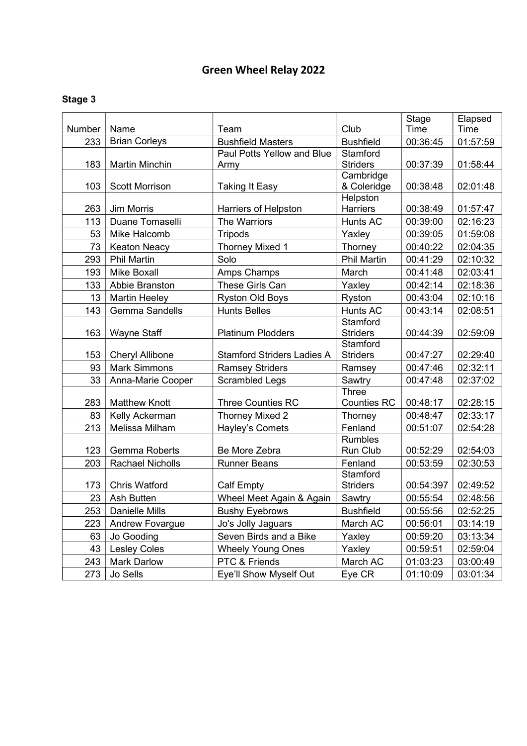|        |                         |                                   |                    | Stage       | Elapsed  |
|--------|-------------------------|-----------------------------------|--------------------|-------------|----------|
| Number | Name                    | Team                              | Club               | <b>Time</b> | Time     |
| 233    | <b>Brian Corleys</b>    | <b>Bushfield Masters</b>          | <b>Bushfield</b>   | 00:36:45    | 01:57:59 |
|        |                         | Paul Potts Yellow and Blue        | Stamford           |             |          |
| 183    | <b>Martin Minchin</b>   | Army                              | <b>Striders</b>    | 00:37:39    | 01:58:44 |
|        |                         |                                   | Cambridge          |             |          |
| 103    | <b>Scott Morrison</b>   | <b>Taking It Easy</b>             | & Coleridge        | 00:38:48    | 02:01:48 |
|        |                         |                                   | Helpston           |             |          |
| 263    | Jim Morris              | Harriers of Helpston              | <b>Harriers</b>    | 00:38:49    | 01:57:47 |
| 113    | Duane Tomaselli         | The Warriors                      | Hunts AC           | 00:39:00    | 02:16:23 |
| 53     | Mike Halcomb            | <b>Tripods</b>                    | Yaxley             | 00:39:05    | 01:59:08 |
| 73     | <b>Keaton Neacy</b>     | Thorney Mixed 1                   | Thorney            | 00:40:22    | 02:04:35 |
| 293    | <b>Phil Martin</b>      | Solo                              | <b>Phil Martin</b> | 00:41:29    | 02:10:32 |
| 193    | <b>Mike Boxall</b>      | Amps Champs                       | March              | 00:41:48    | 02:03:41 |
| 133    | Abbie Branston          | These Girls Can                   | Yaxley             | 00:42:14    | 02:18:36 |
| 13     | <b>Martin Heeley</b>    | <b>Ryston Old Boys</b>            | Ryston             | 00:43:04    | 02:10:16 |
| 143    | Gemma Sandells          | <b>Hunts Belles</b>               | Hunts AC           | 00:43:14    | 02:08:51 |
|        |                         |                                   | Stamford           |             |          |
| 163    | Wayne Staff             | <b>Platinum Plodders</b>          | <b>Striders</b>    | 00:44:39    | 02:59:09 |
|        |                         |                                   | Stamford           |             |          |
| 153    | <b>Cheryl Allibone</b>  | <b>Stamford Striders Ladies A</b> | <b>Striders</b>    | 00:47:27    | 02:29:40 |
| 93     | <b>Mark Simmons</b>     | <b>Ramsey Striders</b>            | Ramsey             | 00:47:46    | 02:32:11 |
| 33     | Anna-Marie Cooper       | <b>Scrambled Legs</b>             | Sawtry             | 00:47:48    | 02:37:02 |
|        |                         |                                   | <b>Three</b>       |             |          |
| 283    | <b>Matthew Knott</b>    | <b>Three Counties RC</b>          | <b>Counties RC</b> | 00:48:17    | 02:28:15 |
| 83     | Kelly Ackerman          | Thorney Mixed 2                   | Thorney            | 00:48:47    | 02:33:17 |
| 213    | Melissa Milham          | Hayley's Comets                   | Fenland            | 00:51:07    | 02:54:28 |
|        |                         |                                   | <b>Rumbles</b>     |             |          |
| 123    | <b>Gemma Roberts</b>    | Be More Zebra                     | Run Club           | 00:52:29    | 02:54:03 |
| 203    | <b>Rachael Nicholls</b> | <b>Runner Beans</b>               | Fenland            | 00:53:59    | 02:30:53 |
|        |                         |                                   | Stamford           |             |          |
| 173    | <b>Chris Watford</b>    | <b>Calf Empty</b>                 | <b>Striders</b>    | 00:54:397   | 02:49:52 |
| 23     | <b>Ash Butten</b>       | Wheel Meet Again & Again          | Sawtry             | 00:55:54    | 02:48:56 |
|        | 253   Danielle Mills    | <b>Bushy Eyebrows</b>             | <b>Bushfield</b>   | 00:55:56    | 02:52:25 |
| 223    | Andrew Fovargue         | Jo's Jolly Jaguars                | March AC           | 00:56:01    | 03:14:19 |
| 63     | Jo Gooding              | Seven Birds and a Bike            | Yaxley             | 00:59:20    | 03:13:34 |
| 43     | <b>Lesley Coles</b>     | <b>Wheely Young Ones</b>          | Yaxley             | 00:59:51    | 02:59:04 |
| 243    | <b>Mark Darlow</b>      | PTC & Friends                     | March AC           | 01:03:23    | 03:00:49 |
| 273    | Jo Sells                | Eye'll Show Myself Out            | Eye CR             | 01:10:09    | 03:01:34 |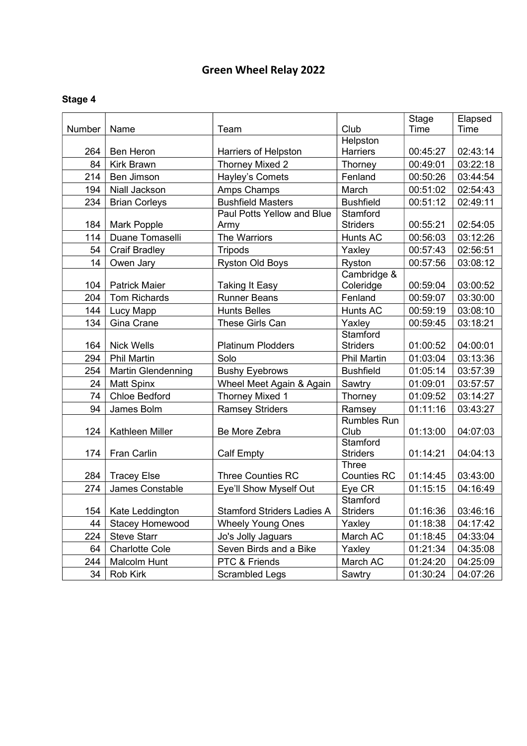|        |                           |                                   |                    | Stage    | Elapsed  |
|--------|---------------------------|-----------------------------------|--------------------|----------|----------|
| Number | Name                      | Team                              | Club               | Time     | Time     |
|        |                           |                                   | Helpston           |          |          |
| 264    | <b>Ben Heron</b>          | Harriers of Helpston              | Harriers           | 00:45:27 | 02:43:14 |
| 84     | <b>Kirk Brawn</b>         | Thorney Mixed 2                   | Thorney            | 00:49:01 | 03:22:18 |
| 214    | Ben Jimson                | Hayley's Comets                   | Fenland            | 00:50:26 | 03:44:54 |
| 194    | Niall Jackson             | Amps Champs                       | March              | 00:51:02 | 02:54:43 |
| 234    | <b>Brian Corleys</b>      | <b>Bushfield Masters</b>          | <b>Bushfield</b>   | 00:51:12 | 02:49:11 |
|        |                           | Paul Potts Yellow and Blue        | Stamford           |          |          |
| 184    | Mark Popple               | Army                              | <b>Striders</b>    | 00:55:21 | 02:54:05 |
| 114    | Duane Tomaselli           | The Warriors                      | <b>Hunts AC</b>    | 00:56:03 | 03:12:26 |
| 54     | <b>Craif Bradley</b>      | <b>Tripods</b>                    | Yaxley             | 00:57:43 | 02:56:51 |
| 14     | Owen Jary                 | <b>Ryston Old Boys</b>            | Ryston             | 00:57:56 | 03:08:12 |
|        |                           |                                   | Cambridge &        |          |          |
| 104    | <b>Patrick Maier</b>      | <b>Taking It Easy</b>             | Coleridge          | 00:59:04 | 03:00:52 |
| 204    | Tom Richards              | <b>Runner Beans</b>               | Fenland            | 00:59:07 | 03:30:00 |
| 144    | Lucy Mapp                 | <b>Hunts Belles</b>               | <b>Hunts AC</b>    | 00:59:19 | 03:08:10 |
| 134    | Gina Crane                | These Girls Can                   | Yaxley             | 00:59:45 | 03:18:21 |
|        |                           |                                   | Stamford           |          |          |
| 164    | <b>Nick Wells</b>         | <b>Platinum Plodders</b>          | <b>Striders</b>    | 01:00:52 | 04:00:01 |
| 294    | <b>Phil Martin</b>        | Solo                              | <b>Phil Martin</b> | 01:03:04 | 03:13:36 |
| 254    | <b>Martin Glendenning</b> | <b>Bushy Eyebrows</b>             | <b>Bushfield</b>   | 01:05:14 | 03:57:39 |
| 24     | <b>Matt Spinx</b>         | Wheel Meet Again & Again          | Sawtry             | 01:09:01 | 03:57:57 |
| 74     | <b>Chloe Bedford</b>      | Thorney Mixed 1                   | Thorney            | 01:09:52 | 03:14:27 |
| 94     | James Bolm                | <b>Ramsey Striders</b>            | Ramsey             | 01:11:16 | 03:43:27 |
|        |                           |                                   | <b>Rumbles Run</b> |          |          |
| 124    | Kathleen Miller           | Be More Zebra                     | Club               | 01:13:00 | 04:07:03 |
|        |                           |                                   | Stamford           |          |          |
| 174    | <b>Fran Carlin</b>        | <b>Calf Empty</b>                 | <b>Striders</b>    | 01:14:21 | 04:04:13 |
|        |                           |                                   | <b>Three</b>       |          |          |
| 284    | <b>Tracey Else</b>        | <b>Three Counties RC</b>          | <b>Counties RC</b> | 01:14:45 | 03:43:00 |
| 274    | James Constable           | Eye'll Show Myself Out            | Eye CR             | 01:15:15 | 04:16:49 |
|        |                           |                                   | Stamford           |          |          |
| 154    | Kate Leddington           | <b>Stamford Striders Ladies A</b> | <b>Striders</b>    | 01:16:36 | 03:46:16 |
| 44     | <b>Stacey Homewood</b>    | <b>Wheely Young Ones</b>          | Yaxley             | 01:18:38 | 04:17:42 |
| 224    | <b>Steve Starr</b>        | Jo's Jolly Jaguars                | March AC           | 01:18:45 | 04:33:04 |
| 64     | <b>Charlotte Cole</b>     | Seven Birds and a Bike            | Yaxley             | 01:21:34 | 04:35:08 |
| 244    | Malcolm Hunt              | PTC & Friends                     | March AC           | 01:24:20 | 04:25:09 |
| 34     | Rob Kirk                  | Scrambled Legs                    | Sawtry             | 01:30:24 | 04:07:26 |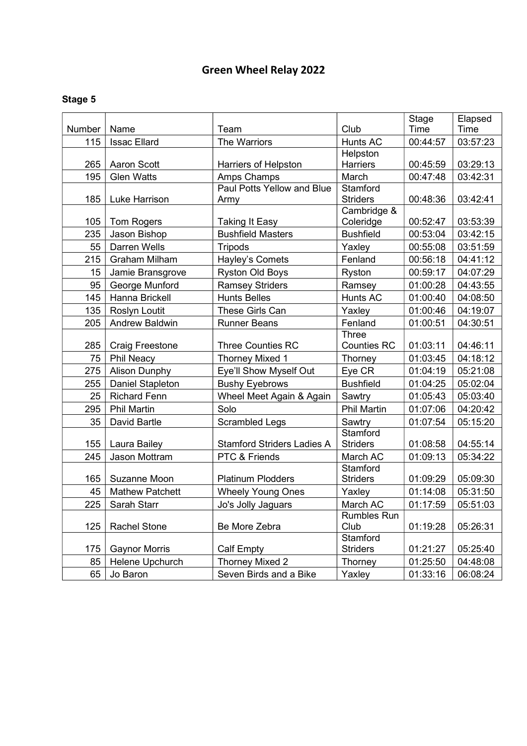|        |                        |                                   |                             | Stage    | Elapsed  |
|--------|------------------------|-----------------------------------|-----------------------------|----------|----------|
| Number | Name                   | Team                              | Club                        | Time     | Time     |
| 115    | <b>Issac Ellard</b>    | The Warriors                      | <b>Hunts AC</b>             | 00:44:57 | 03:57:23 |
|        |                        |                                   | Helpston                    |          |          |
| 265    | <b>Aaron Scott</b>     | Harriers of Helpston              | Harriers                    | 00:45:59 | 03:29:13 |
| 195    | <b>Glen Watts</b>      | Amps Champs                       | March                       | 00:47:48 | 03:42:31 |
|        |                        | Paul Potts Yellow and Blue        | Stamford                    |          |          |
| 185    | Luke Harrison          | Army                              | <b>Striders</b>             | 00:48:36 | 03:42:41 |
| 105    | <b>Tom Rogers</b>      | <b>Taking It Easy</b>             | Cambridge &<br>Coleridge    | 00:52:47 | 03:53:39 |
| 235    | Jason Bishop           | <b>Bushfield Masters</b>          | <b>Bushfield</b>            | 00:53:04 | 03:42:15 |
| 55     | Darren Wells           | <b>Tripods</b>                    | Yaxley                      | 00:55:08 | 03:51:59 |
| 215    | <b>Graham Milham</b>   | Hayley's Comets                   | Fenland                     | 00:56:18 | 04:41:12 |
| 15     |                        |                                   |                             | 00:59:17 | 04:07:29 |
|        | Jamie Bransgrove       | Ryston Old Boys                   | Ryston                      |          |          |
| 95     | George Munford         | <b>Ramsey Striders</b>            | Ramsey<br><b>Hunts AC</b>   | 01:00:28 | 04:43:55 |
| 145    | Hanna Brickell         | <b>Hunts Belles</b>               |                             | 01:00:40 | 04:08:50 |
| 135    | Roslyn Loutit          | These Girls Can                   | Yaxley                      | 01:00:46 | 04:19:07 |
| 205    | <b>Andrew Baldwin</b>  | <b>Runner Beans</b>               | Fenland                     | 01:00:51 | 04:30:51 |
| 285    | <b>Craig Freestone</b> | <b>Three Counties RC</b>          | Three<br><b>Counties RC</b> | 01:03:11 | 04:46:11 |
| 75     | Phil Neacy             | <b>Thorney Mixed 1</b>            | Thorney                     | 01:03:45 | 04:18:12 |
| 275    | <b>Alison Dunphy</b>   | Eye'll Show Myself Out            | Eye CR                      | 01:04:19 | 05:21:08 |
| 255    | Daniel Stapleton       | <b>Bushy Eyebrows</b>             | <b>Bushfield</b>            | 01:04:25 | 05:02:04 |
| 25     | <b>Richard Fenn</b>    | Wheel Meet Again & Again          | Sawtry                      | 01:05:43 | 05:03:40 |
| 295    | <b>Phil Martin</b>     | Solo                              | <b>Phil Martin</b>          | 01:07:06 | 04:20:42 |
| 35     | David Bartle           | <b>Scrambled Legs</b>             | Sawtry                      | 01:07:54 | 05:15:20 |
|        |                        |                                   | Stamford                    |          |          |
| 155    | Laura Bailey           | <b>Stamford Striders Ladies A</b> | <b>Striders</b>             | 01:08:58 | 04:55:14 |
| 245    | Jason Mottram          | PTC & Friends                     | March AC                    | 01:09:13 | 05:34:22 |
|        |                        |                                   | Stamford                    |          |          |
| 165    | Suzanne Moon           | <b>Platinum Plodders</b>          | <b>Striders</b>             | 01:09:29 | 05:09:30 |
| 45     | <b>Mathew Patchett</b> | <b>Wheely Young Ones</b>          | Yaxley                      | 01:14:08 | 05:31:50 |
| 225    | Sarah Starr            | Jo's Jolly Jaguars                | March AC                    | 01:17:59 | 05:51:03 |
|        |                        |                                   | <b>Rumbles Run</b>          |          |          |
| 125    | <b>Rachel Stone</b>    | Be More Zebra                     | Club<br>Stamford            | 01:19:28 | 05:26:31 |
| 175    | <b>Gaynor Morris</b>   | <b>Calf Empty</b>                 | <b>Striders</b>             | 01:21:27 | 05:25:40 |
| 85     | Helene Upchurch        | Thorney Mixed 2                   | Thorney                     | 01:25:50 | 04:48:08 |
|        |                        |                                   |                             |          |          |
| 65     | Jo Baron               | Seven Birds and a Bike            | Yaxley                      | 01:33:16 | 06:08:24 |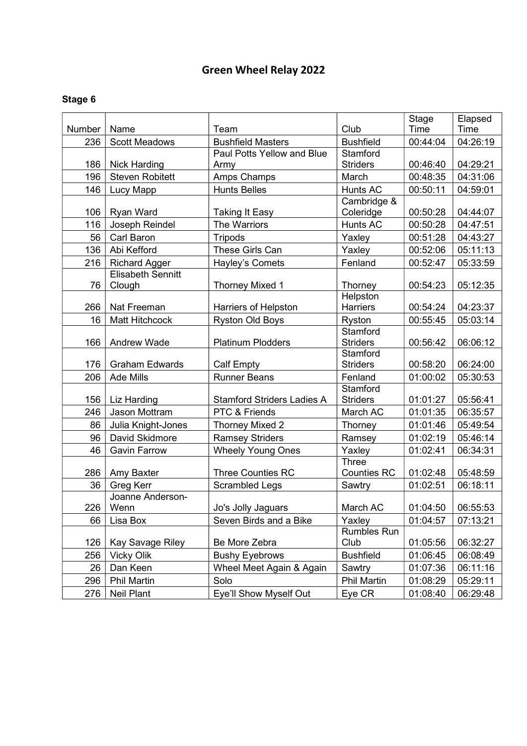|        |                          |                                   |                             | <b>Stage</b> | Elapsed  |
|--------|--------------------------|-----------------------------------|-----------------------------|--------------|----------|
| Number | Name                     | Team                              | Club                        | Time         | Time     |
| 236    | <b>Scott Meadows</b>     | <b>Bushfield Masters</b>          | <b>Bushfield</b>            | 00:44:04     | 04:26:19 |
|        |                          | Paul Potts Yellow and Blue        | Stamford                    |              |          |
| 186    | <b>Nick Harding</b>      | Army                              | <b>Striders</b>             | 00:46:40     | 04:29:21 |
| 196    | <b>Steven Robitett</b>   | Amps Champs                       | March                       | 00:48:35     | 04:31:06 |
| 146    | Lucy Mapp                | <b>Hunts Belles</b>               | <b>Hunts AC</b>             | 00:50:11     | 04:59:01 |
|        |                          |                                   | Cambridge &                 |              |          |
| 106    | Ryan Ward                | <b>Taking It Easy</b>             | Coleridge                   | 00:50:28     | 04:44:07 |
| 116    | Joseph Reindel           | The Warriors                      | Hunts AC                    | 00:50:28     | 04:47:51 |
| 56     | Carl Baron               | <b>Tripods</b>                    | Yaxley                      | 00:51:28     | 04:43:27 |
| 136    | Abi Kefford              | These Girls Can                   | Yaxley                      | 00:52:06     | 05:11:13 |
| 216    | <b>Richard Agger</b>     | Hayley's Comets                   | Fenland                     | 00:52:47     | 05:33:59 |
|        | <b>Elisabeth Sennitt</b> |                                   |                             |              |          |
| 76     | Clough                   | <b>Thorney Mixed 1</b>            | Thorney                     | 00:54:23     | 05:12:35 |
|        |                          |                                   | Helpston<br><b>Harriers</b> | 00:54:24     |          |
| 266    | Nat Freeman              | Harriers of Helpston              |                             |              | 04:23:37 |
| 16     | <b>Matt Hitchcock</b>    | <b>Ryston Old Boys</b>            | Ryston<br>Stamford          | 00:55:45     | 05:03:14 |
| 166    | <b>Andrew Wade</b>       | <b>Platinum Plodders</b>          | <b>Striders</b>             | 00:56:42     | 06:06:12 |
|        |                          |                                   | Stamford                    |              |          |
| 176    | <b>Graham Edwards</b>    | <b>Calf Empty</b>                 | <b>Striders</b>             | 00:58:20     | 06:24:00 |
| 206    | <b>Ade Mills</b>         | <b>Runner Beans</b>               | Fenland                     | 01:00:02     | 05:30:53 |
|        |                          |                                   | Stamford                    |              |          |
| 156    | Liz Harding              | <b>Stamford Striders Ladies A</b> | <b>Striders</b>             | 01:01:27     | 05:56:41 |
| 246    | Jason Mottram            | PTC & Friends                     | March AC                    | 01:01:35     | 06:35:57 |
| 86     | Julia Knight-Jones       | Thorney Mixed 2                   | Thorney                     | 01:01:46     | 05:49:54 |
| 96     | David Skidmore           | <b>Ramsey Striders</b>            | Ramsey                      | 01:02:19     | 05:46:14 |
| 46     | <b>Gavin Farrow</b>      | <b>Wheely Young Ones</b>          | Yaxley                      | 01:02:41     | 06:34:31 |
|        |                          |                                   | Three                       |              |          |
| 286    | Amy Baxter               | <b>Three Counties RC</b>          | <b>Counties RC</b>          | 01:02:48     | 05:48:59 |
| 36     | <b>Greg Kerr</b>         | <b>Scrambled Legs</b>             | Sawtry                      | 01:02:51     | 06:18:11 |
|        | Joanne Anderson-         |                                   |                             |              |          |
| 226    | Wenn                     | Jo's Jolly Jaguars                | March AC                    | 01:04:50     | 06:55:53 |
| 66     | Lisa Box                 | Seven Birds and a Bike            | Yaxley                      | 01:04:57     | 07:13:21 |
|        |                          |                                   | <b>Rumbles Run</b>          |              |          |
| 126    | Kay Savage Riley         | Be More Zebra                     | Club                        | 01:05:56     | 06:32:27 |
| 256    | <b>Vicky Olik</b>        | <b>Bushy Eyebrows</b>             | <b>Bushfield</b>            | 01:06:45     | 06:08:49 |
| 26     | Dan Keen                 | Wheel Meet Again & Again          | Sawtry                      | 01:07:36     | 06:11:16 |
| 296    | <b>Phil Martin</b>       | Solo                              | <b>Phil Martin</b>          | 01:08:29     | 05:29:11 |
| 276    | <b>Neil Plant</b>        | Eye'll Show Myself Out            | Eye CR                      | 01:08:40     | 06:29:48 |